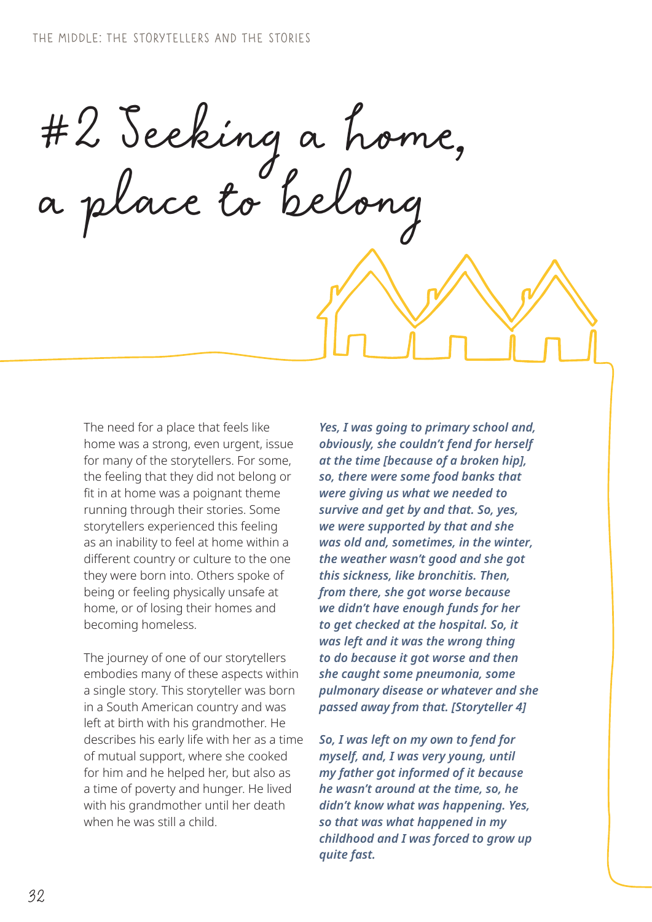#2 Seeking a home, a place to belong

The need for a place that feels like home was a strong, even urgent, issue for many of the storytellers. For some, the feeling that they did not belong or fit in at home was a poignant theme running through their stories. Some storytellers experienced this feeling as an inability to feel at home within a different country or culture to the one they were born into. Others spoke of being or feeling physically unsafe at home, or of losing their homes and becoming homeless.

The journey of one of our storytellers embodies many of these aspects within a single story. This storyteller was born in a South American country and was left at birth with his grandmother. He describes his early life with her as a time of mutual support, where she cooked for him and he helped her, but also as a time of poverty and hunger. He lived with his grandmother until her death when he was still a child.

*Yes, I was going to primary school and, obviously, she couldn't fend for herself at the time [because of a broken hip], so, there were some food banks that were giving us what we needed to survive and get by and that. So, yes, we were supported by that and she was old and, sometimes, in the winter, the weather wasn't good and she got this sickness, like bronchitis. Then, from there, she got worse because we didn't have enough funds for her to get checked at the hospital. So, it was left and it was the wrong thing to do because it got worse and then she caught some pneumonia, some pulmonary disease or whatever and she passed away from that. [Storyteller 4]*

*So, I was left on my own to fend for myself, and, I was very young, until my father got informed of it because he wasn't around at the time, so, he didn't know what was happening. Yes, so that was what happened in my childhood and I was forced to grow up quite fast.*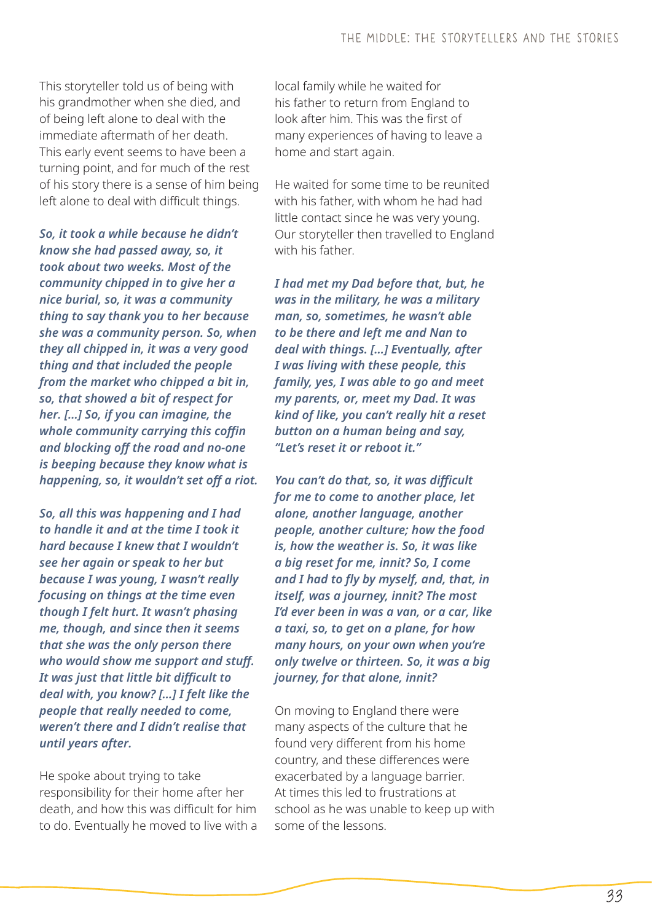This storyteller told us of being with his grandmother when she died, and of being left alone to deal with the immediate aftermath of her death. This early event seems to have been a turning point, and for much of the rest of his story there is a sense of him being left alone to deal with difficult things.

*So, it took a while because he didn't know she had passed away, so, it took about two weeks. Most of the community chipped in to give her a nice burial, so, it was a community thing to say thank you to her because she was a community person. So, when they all chipped in, it was a very good thing and that included the people from the market who chipped a bit in, so, that showed a bit of respect for her. […] So, if you can imagine, the whole community carrying this coffin and blocking off the road and no-one is beeping because they know what is happening, so, it wouldn't set off a riot.* 

*So, all this was happening and I had to handle it and at the time I took it hard because I knew that I wouldn't see her again or speak to her but because I was young, I wasn't really focusing on things at the time even though I felt hurt. It wasn't phasing me, though, and since then it seems that she was the only person there who would show me support and stuff. It was just that little bit difficult to deal with, you know? […] I felt like the people that really needed to come, weren't there and I didn't realise that until years after.*

He spoke about trying to take responsibility for their home after her death, and how this was difficult for him to do. Eventually he moved to live with a local family while he waited for his father to return from England to look after him. This was the first of many experiences of having to leave a home and start again.

He waited for some time to be reunited with his father, with whom he had had little contact since he was very young. Our storyteller then travelled to England with his father.

*I had met my Dad before that, but, he was in the military, he was a military man, so, sometimes, he wasn't able to be there and left me and Nan to deal with things. […] Eventually, after I was living with these people, this family, yes, I was able to go and meet my parents, or, meet my Dad. It was kind of like, you can't really hit a reset button on a human being and say, "Let's reset it or reboot it."*

*You can't do that, so, it was difficult for me to come to another place, let alone, another language, another people, another culture; how the food is, how the weather is. So, it was like a big reset for me, innit? So, I come and I had to fly by myself, and, that, in itself, was a journey, innit? The most I'd ever been in was a van, or a car, like a taxi, so, to get on a plane, for how many hours, on your own when you're only twelve or thirteen. So, it was a big journey, for that alone, innit?*

On moving to England there were many aspects of the culture that he found very different from his home country, and these differences were exacerbated by a language barrier. At times this led to frustrations at school as he was unable to keep up with some of the lessons.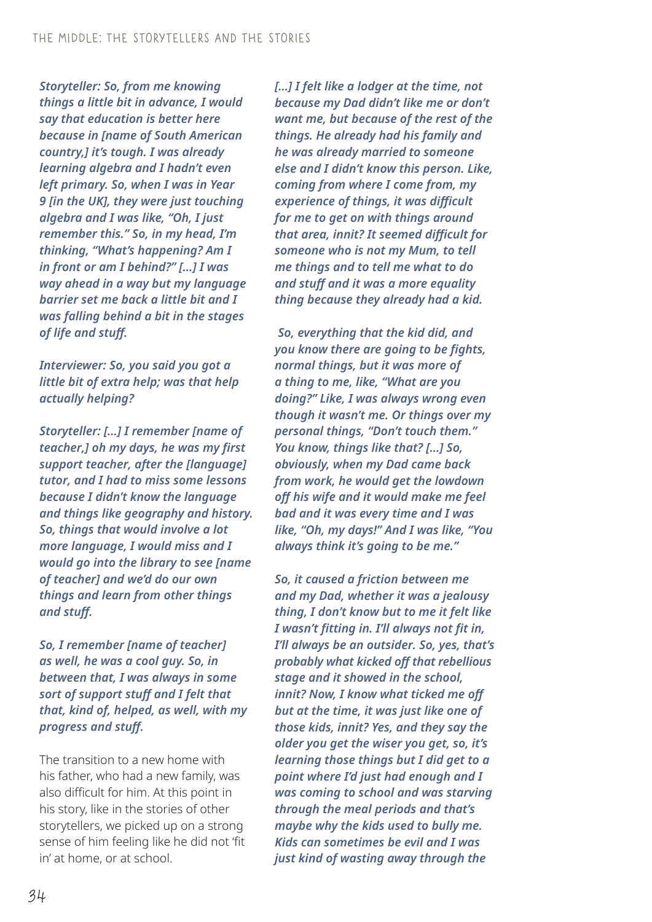*Storyteller: So, from me knowing things a little bit in advance, I would say that education is better here because in [name of South American country,] it's tough. I was already learning algebra and I hadn't even left primary. So, when I was in Year 9 [in the UK], they were just touching algebra and I was like, "Oh, I just remember this." So, in my head, I'm thinking, "What's happening? Am I in front or am I behind?" […] I was way ahead in a way but my language barrier set me back a little bit and I was falling behind a bit in the stages of life and stuff.* 

*Interviewer: So, you said you got a little bit of extra help; was that help actually helping?*

*Storyteller: […] I remember [name of teacher,] oh my days, he was my first support teacher, after the [language] tutor, and I had to miss some lessons because I didn't know the language and things like geography and history. So, things that would involve a lot more language, I would miss and I would go into the library to see [name of teacher] and we'd do our own things and learn from other things and stuff.* 

*So, I remember [name of teacher] as well, he was a cool guy. So, in between that, I was always in some sort of support stuff and I felt that that, kind of, helped, as well, with my progress and stuff.*

The transition to a new home with his father, who had a new family, was also difficult for him. At this point in his story, like in the stories of other storytellers, we picked up on a strong sense of him feeling like he did not 'fit in' at home, or at school.

*[…] I felt like a lodger at the time, not because my Dad didn't like me or don't want me, but because of the rest of the things. He already had his family and he was already married to someone else and I didn't know this person. Like, coming from where I come from, my experience of things, it was difficult for me to get on with things around that area, innit? It seemed difficult for someone who is not my Mum, to tell me things and to tell me what to do and stuff and it was a more equality thing because they already had a kid.*

 *So, everything that the kid did, and you know there are going to be fights, normal things, but it was more of a thing to me, like, "What are you doing?" Like, I was always wrong even though it wasn't me. Or things over my personal things, "Don't touch them." You know, things like that? […] So, obviously, when my Dad came back from work, he would get the lowdown off his wife and it would make me feel bad and it was every time and I was like, "Oh, my days!" And I was like, "You always think it's going to be me."* 

*So, it caused a friction between me and my Dad, whether it was a jealousy thing, I don't know but to me it felt like I wasn't fitting in. I'll always not fit in, I'll always be an outsider. So, yes, that's probably what kicked off that rebellious stage and it showed in the school, innit? Now, I know what ticked me off but at the time, it was just like one of those kids, innit? Yes, and they say the older you get the wiser you get, so, it's learning those things but I did get to a point where I'd just had enough and I was coming to school and was starving through the meal periods and that's maybe why the kids used to bully me. Kids can sometimes be evil and I was just kind of wasting away through the*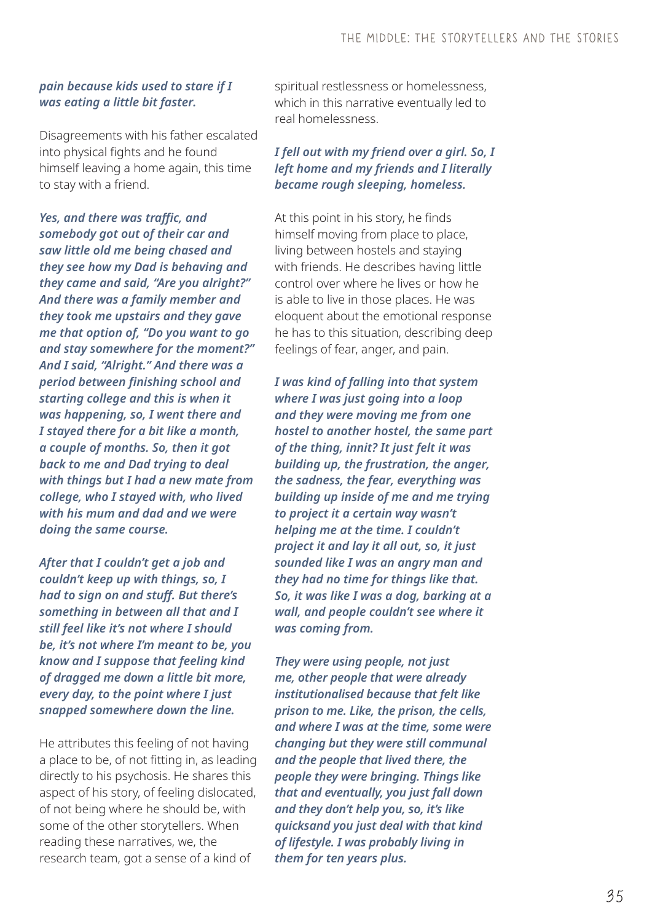#### *pain because kids used to stare if I was eating a little bit faster.*

Disagreements with his father escalated into physical fights and he found himself leaving a home again, this time to stay with a friend.

*Yes, and there was traffic, and somebody got out of their car and saw little old me being chased and they see how my Dad is behaving and they came and said, "Are you alright?" And there was a family member and they took me upstairs and they gave me that option of, "Do you want to go and stay somewhere for the moment?" And I said, "Alright." And there was a period between finishing school and starting college and this is when it was happening, so, I went there and I stayed there for a bit like a month, a couple of months. So, then it got back to me and Dad trying to deal with things but I had a new mate from college, who I stayed with, who lived with his mum and dad and we were doing the same course.* 

*After that I couldn't get a job and couldn't keep up with things, so, I had to sign on and stuff. But there's something in between all that and I still feel like it's not where I should be, it's not where I'm meant to be, you know and I suppose that feeling kind of dragged me down a little bit more, every day, to the point where I just snapped somewhere down the line.*

He attributes this feeling of not having a place to be, of not fitting in, as leading directly to his psychosis. He shares this aspect of his story, of feeling dislocated, of not being where he should be, with some of the other storytellers. When reading these narratives, we, the research team, got a sense of a kind of

spiritual restlessness or homelessness, which in this narrative eventually led to real homelessness.

### *I fell out with my friend over a girl. So, I left home and my friends and I literally became rough sleeping, homeless.*

At this point in his story, he finds himself moving from place to place, living between hostels and staying with friends. He describes having little control over where he lives or how he is able to live in those places. He was eloquent about the emotional response he has to this situation, describing deep feelings of fear, anger, and pain.

*I was kind of falling into that system where I was just going into a loop and they were moving me from one hostel to another hostel, the same part of the thing, innit? It just felt it was building up, the frustration, the anger, the sadness, the fear, everything was building up inside of me and me trying to project it a certain way wasn't helping me at the time. I couldn't project it and lay it all out, so, it just sounded like I was an angry man and they had no time for things like that. So, it was like I was a dog, barking at a wall, and people couldn't see where it was coming from.* 

*They were using people, not just me, other people that were already institutionalised because that felt like prison to me. Like, the prison, the cells, and where I was at the time, some were changing but they were still communal and the people that lived there, the people they were bringing. Things like that and eventually, you just fall down and they don't help you, so, it's like quicksand you just deal with that kind of lifestyle. I was probably living in them for ten years plus.*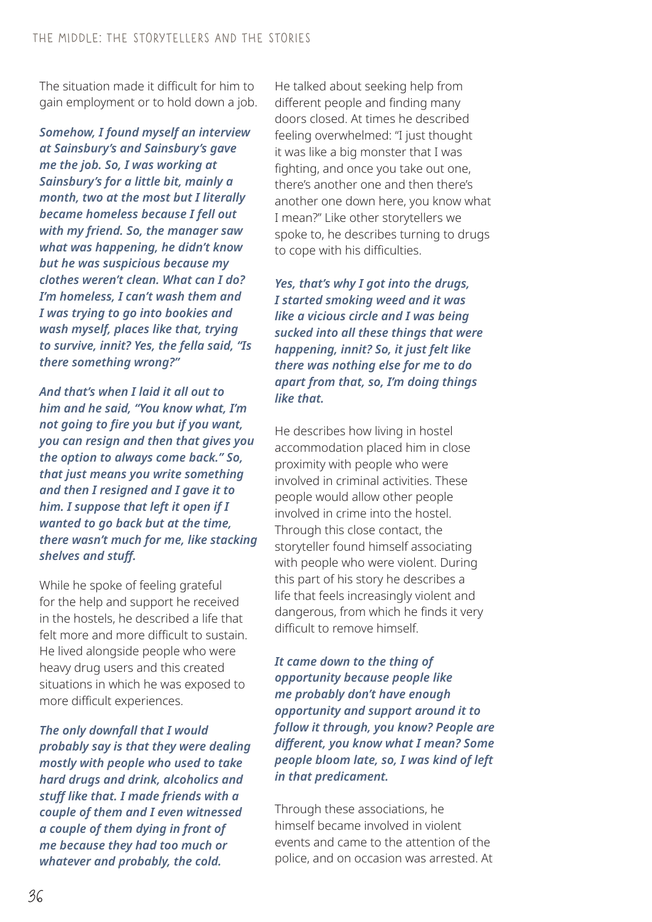The situation made it difficult for him to gain employment or to hold down a job.

*Somehow, I found myself an interview at Sainsbury's and Sainsbury's gave me the job. So, I was working at Sainsbury's for a little bit, mainly a month, two at the most but I literally became homeless because I fell out with my friend. So, the manager saw what was happening, he didn't know but he was suspicious because my clothes weren't clean. What can I do? I'm homeless, I can't wash them and I was trying to go into bookies and wash myself, places like that, trying to survive, innit? Yes, the fella said, "Is there something wrong?"*

*And that's when I laid it all out to him and he said, "You know what, I'm not going to fire you but if you want, you can resign and then that gives you the option to always come back." So, that just means you write something and then I resigned and I gave it to him. I suppose that left it open if I wanted to go back but at the time, there wasn't much for me, like stacking shelves and stuff.*

While he spoke of feeling grateful for the help and support he received in the hostels, he described a life that felt more and more difficult to sustain. He lived alongside people who were heavy drug users and this created situations in which he was exposed to more difficult experiences.

*The only downfall that I would probably say is that they were dealing mostly with people who used to take hard drugs and drink, alcoholics and stuff like that. I made friends with a couple of them and I even witnessed a couple of them dying in front of me because they had too much or whatever and probably, the cold.*

He talked about seeking help from different people and finding many doors closed. At times he described feeling overwhelmed: "I just thought it was like a big monster that I was fighting, and once you take out one, there's another one and then there's another one down here, you know what I mean?" Like other storytellers we spoke to, he describes turning to drugs to cope with his difficulties.

*Yes, that's why I got into the drugs, I started smoking weed and it was like a vicious circle and I was being sucked into all these things that were happening, innit? So, it just felt like there was nothing else for me to do apart from that, so, I'm doing things like that.*

He describes how living in hostel accommodation placed him in close proximity with people who were involved in criminal activities. These people would allow other people involved in crime into the hostel. Through this close contact, the storyteller found himself associating with people who were violent. During this part of his story he describes a life that feels increasingly violent and dangerous, from which he finds it very difficult to remove himself.

*It came down to the thing of opportunity because people like me probably don't have enough opportunity and support around it to follow it through, you know? People are different, you know what I mean? Some people bloom late, so, I was kind of left in that predicament.* 

Through these associations, he himself became involved in violent events and came to the attention of the police, and on occasion was arrested. At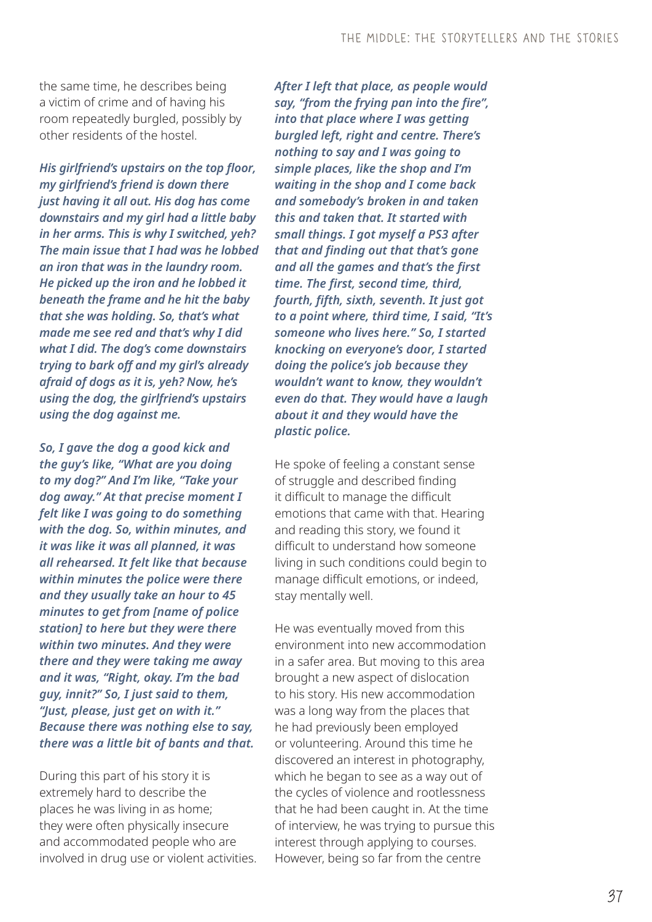the same time, he describes being a victim of crime and of having his room repeatedly burgled, possibly by other residents of the hostel.

*His girlfriend's upstairs on the top floor, my girlfriend's friend is down there just having it all out. His dog has come downstairs and my girl had a little baby in her arms. This is why I switched, yeh? The main issue that I had was he lobbed an iron that was in the laundry room. He picked up the iron and he lobbed it beneath the frame and he hit the baby that she was holding. So, that's what made me see red and that's why I did what I did. The dog's come downstairs trying to bark off and my girl's already afraid of dogs as it is, yeh? Now, he's using the dog, the girlfriend's upstairs using the dog against me.* 

*So, I gave the dog a good kick and the guy's like, "What are you doing to my dog?" And I'm like, "Take your dog away." At that precise moment I felt like I was going to do something with the dog. So, within minutes, and it was like it was all planned, it was all rehearsed. It felt like that because within minutes the police were there and they usually take an hour to 45 minutes to get from [name of police station] to here but they were there within two minutes. And they were there and they were taking me away and it was, "Right, okay. I'm the bad guy, innit?" So, I just said to them, "Just, please, just get on with it." Because there was nothing else to say, there was a little bit of bants and that.* 

During this part of his story it is extremely hard to describe the places he was living in as home; they were often physically insecure and accommodated people who are involved in drug use or violent activities. *After I left that place, as people would say, "from the frying pan into the fire", into that place where I was getting burgled left, right and centre. There's nothing to say and I was going to simple places, like the shop and I'm waiting in the shop and I come back and somebody's broken in and taken this and taken that. It started with small things. I got myself a PS3 after that and finding out that that's gone and all the games and that's the first time. The first, second time, third, fourth, fifth, sixth, seventh. It just got to a point where, third time, I said, "It's someone who lives here." So, I started knocking on everyone's door, I started doing the police's job because they wouldn't want to know, they wouldn't even do that. They would have a laugh about it and they would have the plastic police.*

He spoke of feeling a constant sense of struggle and described finding it difficult to manage the difficult emotions that came with that. Hearing and reading this story, we found it difficult to understand how someone living in such conditions could begin to manage difficult emotions, or indeed, stay mentally well.

He was eventually moved from this environment into new accommodation in a safer area. But moving to this area brought a new aspect of dislocation to his story. His new accommodation was a long way from the places that he had previously been employed or volunteering. Around this time he discovered an interest in photography, which he began to see as a way out of the cycles of violence and rootlessness that he had been caught in. At the time of interview, he was trying to pursue this interest through applying to courses. However, being so far from the centre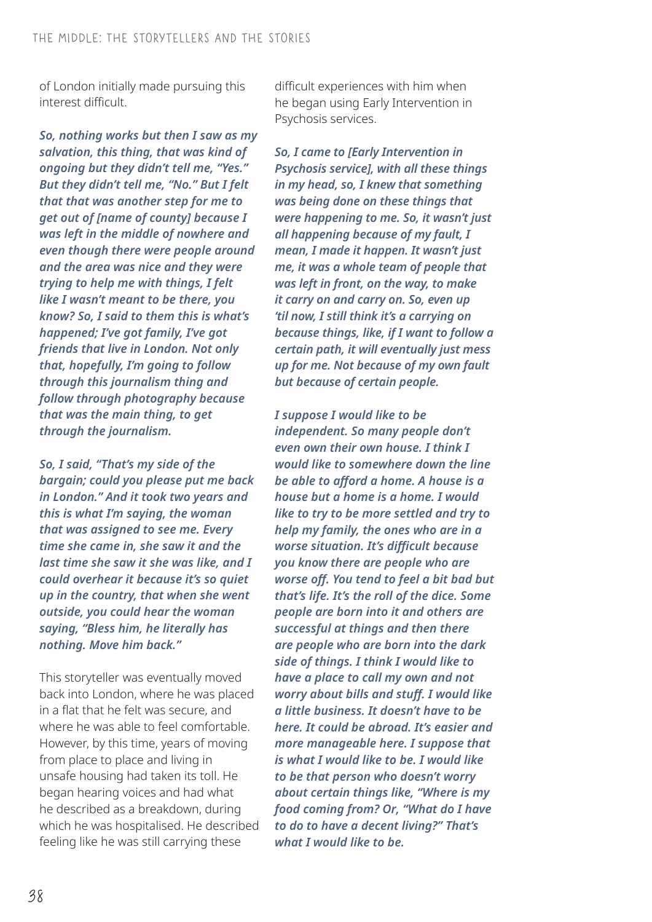of London initially made pursuing this interest difficult.

*So, nothing works but then I saw as my salvation, this thing, that was kind of ongoing but they didn't tell me, "Yes." But they didn't tell me, "No." But I felt that that was another step for me to get out of [name of county] because I was left in the middle of nowhere and even though there were people around and the area was nice and they were trying to help me with things, I felt like I wasn't meant to be there, you know? So, I said to them this is what's happened; I've got family, I've got friends that live in London. Not only that, hopefully, I'm going to follow through this journalism thing and follow through photography because that was the main thing, to get through the journalism.* 

*So, I said, "That's my side of the bargain; could you please put me back in London." And it took two years and this is what I'm saying, the woman that was assigned to see me. Every time she came in, she saw it and the last time she saw it she was like, and I could overhear it because it's so quiet up in the country, that when she went outside, you could hear the woman saying, "Bless him, he literally has nothing. Move him back."* 

This storyteller was eventually moved back into London, where he was placed in a flat that he felt was secure, and where he was able to feel comfortable. However, by this time, years of moving from place to place and living in unsafe housing had taken its toll. He began hearing voices and had what he described as a breakdown, during which he was hospitalised. He described feeling like he was still carrying these

difficult experiences with him when he began using Early Intervention in Psychosis services.

*So, I came to [Early Intervention in Psychosis service], with all these things in my head, so, I knew that something was being done on these things that were happening to me. So, it wasn't just all happening because of my fault, I mean, I made it happen. It wasn't just me, it was a whole team of people that was left in front, on the way, to make it carry on and carry on. So, even up 'til now, I still think it's a carrying on because things, like, if I want to follow a certain path, it will eventually just mess up for me. Not because of my own fault but because of certain people.* 

*I suppose I would like to be independent. So many people don't even own their own house. I think I would like to somewhere down the line be able to afford a home. A house is a house but a home is a home. I would like to try to be more settled and try to help my family, the ones who are in a worse situation. It's difficult because you know there are people who are worse off. You tend to feel a bit bad but that's life. It's the roll of the dice. Some people are born into it and others are successful at things and then there are people who are born into the dark side of things. I think I would like to have a place to call my own and not worry about bills and stuff. I would like a little business. It doesn't have to be here. It could be abroad. It's easier and more manageable here. I suppose that is what I would like to be. I would like to be that person who doesn't worry about certain things like, "Where is my food coming from? Or, "What do I have to do to have a decent living?" That's what I would like to be.*